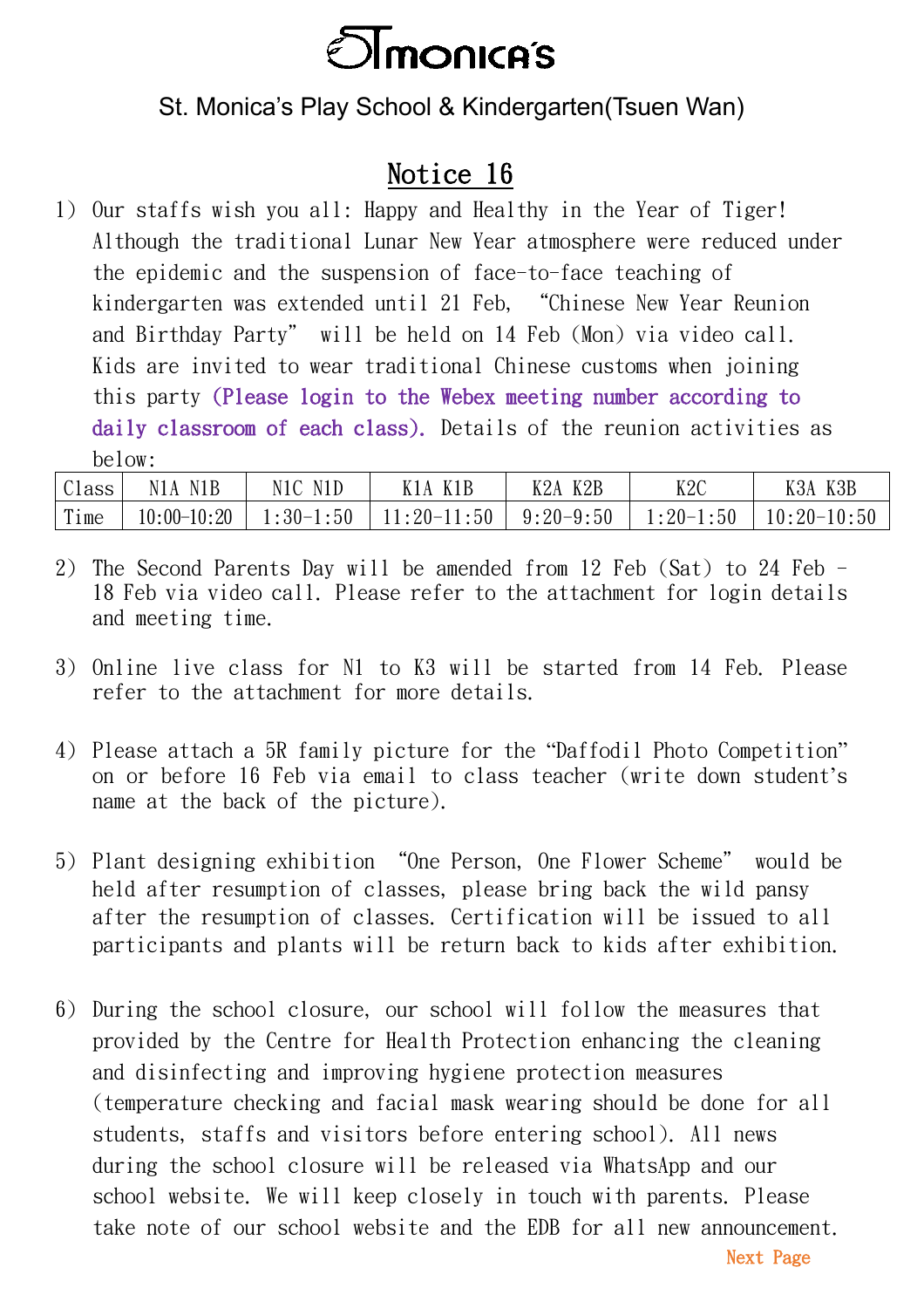

## St. Monica's Play School & Kindergarten(Tsuen Wan)

# Notice 16

1) Our staffs wish you all: Happy and Healthy in the Year of Tiger! Although the traditional Lunar New Year atmosphere were reduced under the epidemic and the suspension of face-to-face teaching of kindergarten was extended until 21 Feb, "Chinese New Year Reunion and Birthday Party" will be held on 14 Feb (Mon) via video call. Kids are invited to wear traditional Chinese customs when joining this party (Please login to the Webex meeting number according to daily classroom of each class). Details of the reunion activities as below:

| Class                | N1A<br>N1B    | N1D<br>N1C    | K1B<br>A      | K2B<br>79A    | K2C           | K3B<br>K3A          |
|----------------------|---------------|---------------|---------------|---------------|---------------|---------------------|
| $\mathbf{m}$<br>lime | $10:00-10:20$ | :50<br>$:30-$ | :50<br>$90-.$ | $9:20 - 9:50$ | :50<br>$-20-$ | $20 - 10:50$<br>10: |

- 2) The Second Parents Day will be amended from 12 Feb (Sat) to 24 Feb 18 Feb via video call. Please refer to the attachment for login details and meeting time.
- 3) Online live class for N1 to K3 will be started from 14 Feb. Please refer to the attachment for more details.
- 4) Please attach a 5R family picture for the "Daffodil Photo Competition" on or before 16 Feb via email to class teacher (write down student's name at the back of the picture).
- 5) Plant designing exhibition "One Person, One Flower Scheme" would be held after resumption of classes, please bring back the wild pansy after the resumption of classes. Certification will be issued to all participants and plants will be return back to kids after exhibition.
- 6) During the school closure, our school will follow the measures that provided by the Centre for Health Protection enhancing the cleaning and disinfecting and improving hygiene protection measures (temperature checking and facial mask wearing should be done for all students, staffs and visitors before entering school). All news during the school closure will be released via WhatsApp and our school website. We will keep closely in touch with parents. Please take note of our school website and the EDB for all new announcement.

Next Page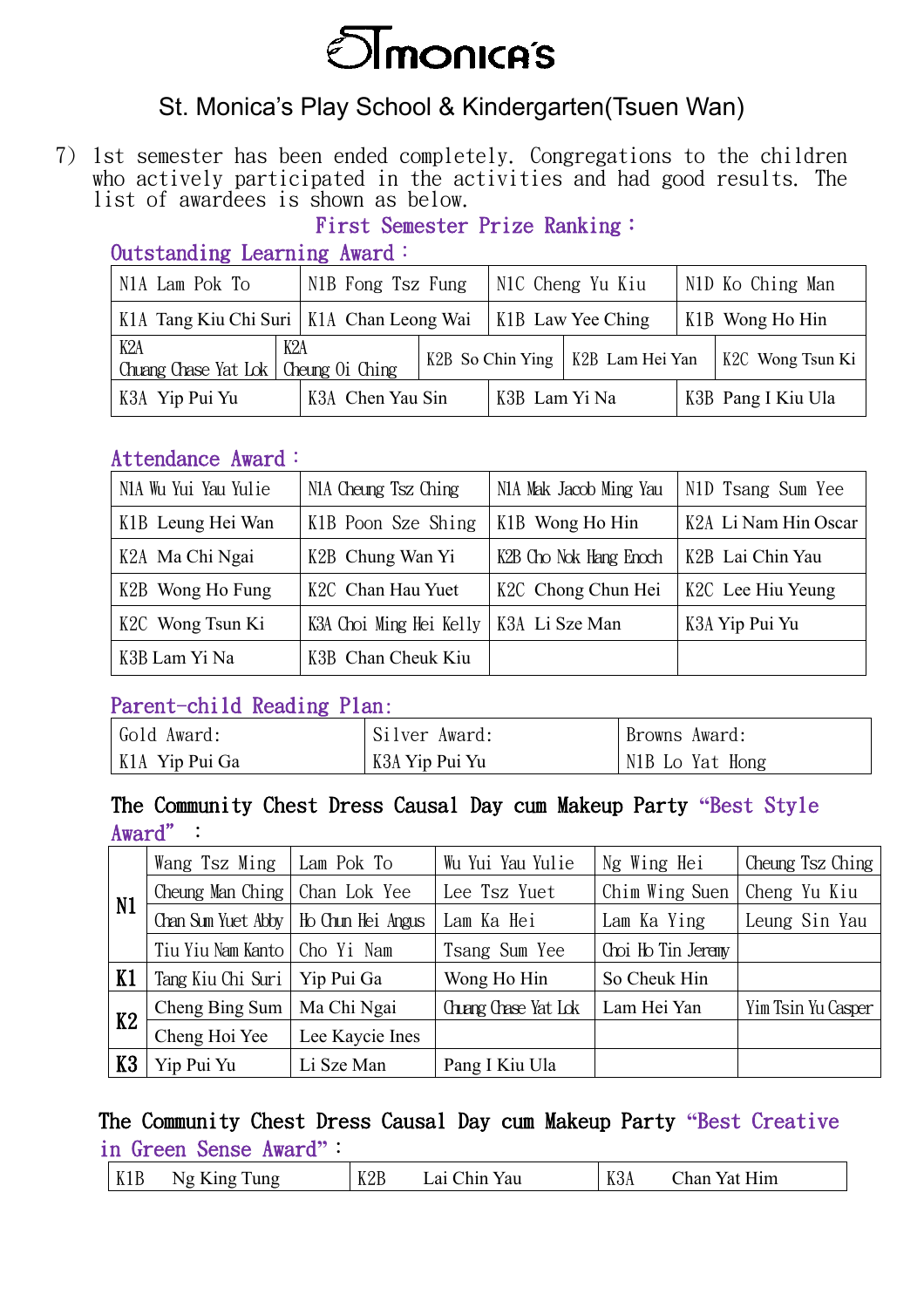

## St. Monica's Play School & Kindergarten(Tsuen Wan)

7) 1st semester has been ended completely. Congregations to the children who actively participated in the activities and had good results. The list of awardees is shown as below.

### First Semester Prize Ranking:

| $\sim$ 0.000 $\sim$ 0.000 $\sim$ 0.000 $\sim$ 0.000 $\sim$ 0.000 $\sim$ 0.000 $\sim$ 0.000 $\sim$ |                                      |  |               |                                    |                  |                    |
|---------------------------------------------------------------------------------------------------|--------------------------------------|--|---------------|------------------------------------|------------------|--------------------|
| N <sub>1</sub> A Lam Pok To                                                                       | N1B Fong Tsz Fung   N1C Cheng Yu Kiu |  |               |                                    | N1D Ko Ching Man |                    |
| K1A Tang Kiu Chi Suri   K1A Chan Leong Wai   K1B Law Yee Ching                                    |                                      |  |               |                                    |                  | K1B Wong Ho Hin    |
| K2A<br>K2A<br>Chuang Chase Yat Lok   Cheung Oi Ching                                              |                                      |  |               | K2B So Chin Ying   K2B Lam Hei Yan |                  | K2C Wong Tsun Ki   |
| K3A Yip Pui Yu                                                                                    | K3A Chen Yau Sin                     |  | K3B Lam Yi Na |                                    |                  | K3B Pang I Kiu Ula |

#### Outstanding Learning Award:

#### Attendance Award:

| N1A Wu Yui Yau Yulie | N <sub>1</sub> A Cheung Tsz Ching        | N1A Mak Jacob Ming Yau | N1D Tsang Sum Yee    |
|----------------------|------------------------------------------|------------------------|----------------------|
| K1B Leung Hei Wan    | K1B Poon Sze Shing                       | K1B Wong Ho Hin        | K2A Li Nam Hin Oscar |
| K2A Ma Chi Ngai      | K2B Chung Wan Yi                         | K2B Cho Nok Hang Enoch | K2B Lai Chin Yau     |
| K2B Wong Ho Fung     | K <sub>2</sub> C Chan Hau Yuet           | K2C Chong Chun Hei     | K2C Lee Hiu Yeung    |
| K2C Wong Tsun Ki     | K3A Choi Ming Hei Kelly   K3A Li Sze Man |                        | K3A Yip Pui Yu       |
| K3B Lam Yi Na        | K3B Chan Cheuk Kiu                       |                        |                      |

#### Parent-child Reading Plan:

| Gold Award:    | Silver Award:  | Browns Award:                |
|----------------|----------------|------------------------------|
| K1A Yip Pui Ga | K3A Yip Pui Yu | N <sub>1</sub> B Lo Yat Hong |

#### The Community Chest Dress Causal Day cum Makeup Party **"**Best Style Award":

| N1 | Wang Tsz Ming                          | Lam Pok To      | Wu Yui Yau Yulie    | Ng Wing Hei        | Cheung Tsz Ching   |
|----|----------------------------------------|-----------------|---------------------|--------------------|--------------------|
|    | Cheung Man Ching                       | Chan Lok Yee    | Lee Tsz Yuet        | Chim Wing Suen     | Cheng Yu Kiu       |
|    | Chan Sum Yuet Abby   Ho Chun Hei Angus |                 | Lam Ka Hei          | Lam Ka Ying        | Leung Sin Yau      |
|    | Tiu Yiu Nam Kanto   Cho Yi Nam         |                 | Tsang Sum Yee       | Choi Ho Tin Jeremy |                    |
| K1 | Tang Kiu Chi Suri                      | Yip Pui Ga      | Wong Ho Hin         | So Cheuk Hin       |                    |
| K2 | Cheng Bing Sum                         | Ma Chi Ngai     | Chang Chase Yat Lok | Lam Hei Yan        | Yim Tsin Yu Casper |
|    | Cheng Hoi Yee                          | Lee Kaycie Ines |                     |                    |                    |
| K3 | Yip Pui Yu                             | Li Sze Man      | Pang I Kiu Ula      |                    |                    |

### The Community Chest Dress Causal Day cum Makeup Party **"**Best Creative in Green Sense Award**"**: